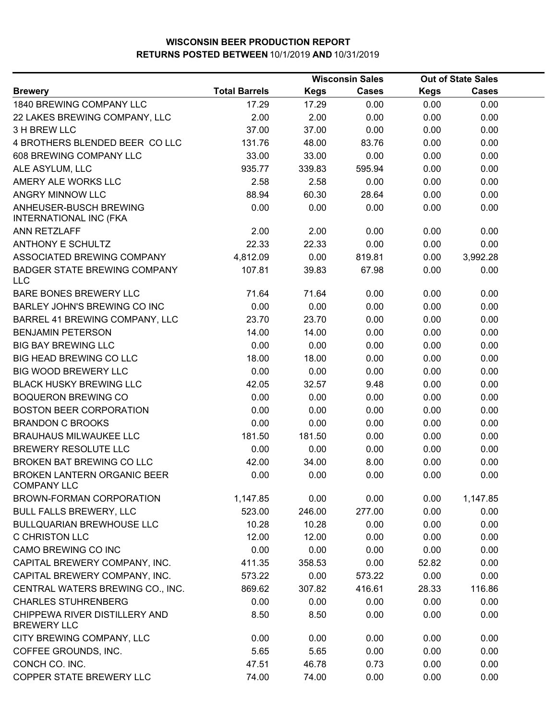|                                                          | <b>Wisconsin Sales</b> |             |              | <b>Out of State Sales</b> |              |  |
|----------------------------------------------------------|------------------------|-------------|--------------|---------------------------|--------------|--|
| <b>Brewery</b>                                           | <b>Total Barrels</b>   | <b>Kegs</b> | <b>Cases</b> | <b>Kegs</b>               | <b>Cases</b> |  |
| 1840 BREWING COMPANY LLC                                 | 17.29                  | 17.29       | 0.00         | 0.00                      | 0.00         |  |
| 22 LAKES BREWING COMPANY, LLC                            | 2.00                   | 2.00        | 0.00         | 0.00                      | 0.00         |  |
| 3 H BREW LLC                                             | 37.00                  | 37.00       | 0.00         | 0.00                      | 0.00         |  |
| 4 BROTHERS BLENDED BEER CO LLC                           | 131.76                 | 48.00       | 83.76        | 0.00                      | 0.00         |  |
| 608 BREWING COMPANY LLC                                  | 33.00                  | 33.00       | 0.00         | 0.00                      | 0.00         |  |
| ALE ASYLUM, LLC                                          | 935.77                 | 339.83      | 595.94       | 0.00                      | 0.00         |  |
| AMERY ALE WORKS LLC                                      | 2.58                   | 2.58        | 0.00         | 0.00                      | 0.00         |  |
| ANGRY MINNOW LLC                                         | 88.94                  | 60.30       | 28.64        | 0.00                      | 0.00         |  |
| ANHEUSER-BUSCH BREWING<br>INTERNATIONAL INC (FKA         | 0.00                   | 0.00        | 0.00         | 0.00                      | 0.00         |  |
| <b>ANN RETZLAFF</b>                                      | 2.00                   | 2.00        | 0.00         | 0.00                      | 0.00         |  |
| <b>ANTHONY E SCHULTZ</b>                                 | 22.33                  | 22.33       | 0.00         | 0.00                      | 0.00         |  |
| ASSOCIATED BREWING COMPANY                               | 4,812.09               | 0.00        | 819.81       | 0.00                      | 3,992.28     |  |
| <b>BADGER STATE BREWING COMPANY</b><br>LLC               | 107.81                 | 39.83       | 67.98        | 0.00                      | 0.00         |  |
| <b>BARE BONES BREWERY LLC</b>                            | 71.64                  | 71.64       | 0.00         | 0.00                      | 0.00         |  |
| <b>BARLEY JOHN'S BREWING CO INC</b>                      | 0.00                   | 0.00        | 0.00         | 0.00                      | 0.00         |  |
| BARREL 41 BREWING COMPANY, LLC                           | 23.70                  | 23.70       | 0.00         | 0.00                      | 0.00         |  |
| <b>BENJAMIN PETERSON</b>                                 | 14.00                  | 14.00       | 0.00         | 0.00                      | 0.00         |  |
| <b>BIG BAY BREWING LLC</b>                               | 0.00                   | 0.00        | 0.00         | 0.00                      | 0.00         |  |
| BIG HEAD BREWING CO LLC                                  | 18.00                  | 18.00       | 0.00         | 0.00                      | 0.00         |  |
| <b>BIG WOOD BREWERY LLC</b>                              | 0.00                   | 0.00        | 0.00         | 0.00                      | 0.00         |  |
| <b>BLACK HUSKY BREWING LLC</b>                           | 42.05                  | 32.57       | 9.48         | 0.00                      | 0.00         |  |
| <b>BOQUERON BREWING CO</b>                               | 0.00                   | 0.00        | 0.00         | 0.00                      | 0.00         |  |
| <b>BOSTON BEER CORPORATION</b>                           | 0.00                   | 0.00        | 0.00         | 0.00                      | 0.00         |  |
| <b>BRANDON C BROOKS</b>                                  | 0.00                   | 0.00        | 0.00         | 0.00                      | 0.00         |  |
| <b>BRAUHAUS MILWAUKEE LLC</b>                            | 181.50                 | 181.50      | 0.00         | 0.00                      | 0.00         |  |
| BREWERY RESOLUTE LLC                                     | 0.00                   | 0.00        | 0.00         | 0.00                      | 0.00         |  |
| <b>BROKEN BAT BREWING CO LLC</b>                         | 42.00                  | 34.00       | 8.00         | 0.00                      | 0.00         |  |
| <b>BROKEN LANTERN ORGANIC BEER</b><br><b>COMPANY LLC</b> | 0.00                   | 0.00        | 0.00         | 0.00                      | 0.00         |  |
| BROWN-FORMAN CORPORATION                                 | 1,147.85               | 0.00        | 0.00         | 0.00                      | 1,147.85     |  |
| <b>BULL FALLS BREWERY, LLC</b>                           | 523.00                 | 246.00      | 277.00       | 0.00                      | 0.00         |  |
| <b>BULLQUARIAN BREWHOUSE LLC</b>                         | 10.28                  | 10.28       | 0.00         | 0.00                      | 0.00         |  |
| <b>C CHRISTON LLC</b>                                    | 12.00                  | 12.00       | 0.00         | 0.00                      | 0.00         |  |
| CAMO BREWING CO INC                                      | 0.00                   | 0.00        | 0.00         | 0.00                      | 0.00         |  |
| CAPITAL BREWERY COMPANY, INC.                            | 411.35                 | 358.53      | 0.00         | 52.82                     | 0.00         |  |
| CAPITAL BREWERY COMPANY, INC.                            | 573.22                 | 0.00        | 573.22       | 0.00                      | 0.00         |  |
| CENTRAL WATERS BREWING CO., INC.                         | 869.62                 | 307.82      | 416.61       | 28.33                     | 116.86       |  |
| <b>CHARLES STUHRENBERG</b>                               | 0.00                   | 0.00        | 0.00         | 0.00                      | 0.00         |  |
| CHIPPEWA RIVER DISTILLERY AND<br><b>BREWERY LLC</b>      | 8.50                   | 8.50        | 0.00         | 0.00                      | 0.00         |  |
| CITY BREWING COMPANY, LLC                                | 0.00                   | 0.00        | 0.00         | 0.00                      | 0.00         |  |
| COFFEE GROUNDS, INC.                                     | 5.65                   | 5.65        | 0.00         | 0.00                      | 0.00         |  |
| CONCH CO. INC.                                           | 47.51                  | 46.78       | 0.73         | 0.00                      | 0.00         |  |
| COPPER STATE BREWERY LLC                                 | 74.00                  | 74.00       | 0.00         | 0.00                      | 0.00         |  |
|                                                          |                        |             |              |                           |              |  |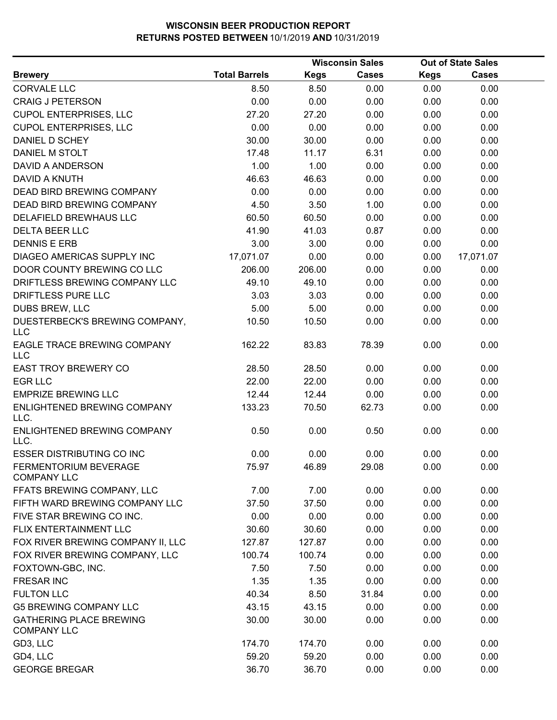|                                                      |                      |             | <b>Wisconsin Sales</b> |             | <b>Out of State Sales</b> |  |  |
|------------------------------------------------------|----------------------|-------------|------------------------|-------------|---------------------------|--|--|
| <b>Brewery</b>                                       | <b>Total Barrels</b> | <b>Kegs</b> | <b>Cases</b>           | <b>Kegs</b> | Cases                     |  |  |
| <b>CORVALE LLC</b>                                   | 8.50                 | 8.50        | 0.00                   | 0.00        | 0.00                      |  |  |
| <b>CRAIG J PETERSON</b>                              | 0.00                 | 0.00        | 0.00                   | 0.00        | 0.00                      |  |  |
| <b>CUPOL ENTERPRISES, LLC</b>                        | 27.20                | 27.20       | 0.00                   | 0.00        | 0.00                      |  |  |
| <b>CUPOL ENTERPRISES, LLC</b>                        | 0.00                 | 0.00        | 0.00                   | 0.00        | 0.00                      |  |  |
| DANIEL D SCHEY                                       | 30.00                | 30.00       | 0.00                   | 0.00        | 0.00                      |  |  |
| DANIEL M STOLT                                       | 17.48                | 11.17       | 6.31                   | 0.00        | 0.00                      |  |  |
| <b>DAVID A ANDERSON</b>                              | 1.00                 | 1.00        | 0.00                   | 0.00        | 0.00                      |  |  |
| <b>DAVID A KNUTH</b>                                 | 46.63                | 46.63       | 0.00                   | 0.00        | 0.00                      |  |  |
| <b>DEAD BIRD BREWING COMPANY</b>                     | 0.00                 | 0.00        | 0.00                   | 0.00        | 0.00                      |  |  |
| <b>DEAD BIRD BREWING COMPANY</b>                     | 4.50                 | 3.50        | 1.00                   | 0.00        | 0.00                      |  |  |
| DELAFIELD BREWHAUS LLC                               | 60.50                | 60.50       | 0.00                   | 0.00        | 0.00                      |  |  |
| <b>DELTA BEER LLC</b>                                | 41.90                | 41.03       | 0.87                   | 0.00        | 0.00                      |  |  |
| <b>DENNIS E ERB</b>                                  | 3.00                 | 3.00        | 0.00                   | 0.00        | 0.00                      |  |  |
| DIAGEO AMERICAS SUPPLY INC                           | 17,071.07            | 0.00        | 0.00                   | 0.00        | 17,071.07                 |  |  |
| DOOR COUNTY BREWING CO LLC                           | 206.00               | 206.00      | 0.00                   | 0.00        | 0.00                      |  |  |
| DRIFTLESS BREWING COMPANY LLC                        | 49.10                | 49.10       | 0.00                   | 0.00        | 0.00                      |  |  |
| DRIFTLESS PURE LLC                                   | 3.03                 | 3.03        | 0.00                   | 0.00        | 0.00                      |  |  |
| <b>DUBS BREW, LLC</b>                                | 5.00                 | 5.00        | 0.00                   | 0.00        | 0.00                      |  |  |
| DUESTERBECK'S BREWING COMPANY,<br>LLC                | 10.50                | 10.50       | 0.00                   | 0.00        | 0.00                      |  |  |
| EAGLE TRACE BREWING COMPANY<br><b>LLC</b>            | 162.22               | 83.83       | 78.39                  | 0.00        | 0.00                      |  |  |
| <b>EAST TROY BREWERY CO</b>                          | 28.50                | 28.50       | 0.00                   | 0.00        | 0.00                      |  |  |
| <b>EGR LLC</b>                                       | 22.00                | 22.00       | 0.00                   | 0.00        | 0.00                      |  |  |
| <b>EMPRIZE BREWING LLC</b>                           | 12.44                | 12.44       | 0.00                   | 0.00        | 0.00                      |  |  |
| ENLIGHTENED BREWING COMPANY<br>LLC.                  | 133.23               | 70.50       | 62.73                  | 0.00        | 0.00                      |  |  |
| ENLIGHTENED BREWING COMPANY<br>LLC.                  | 0.50                 | 0.00        | 0.50                   | 0.00        | 0.00                      |  |  |
| <b>ESSER DISTRIBUTING CO INC</b>                     | 0.00                 | 0.00        | 0.00                   | 0.00        | 0.00                      |  |  |
| <b>FERMENTORIUM BEVERAGE</b><br><b>COMPANY LLC</b>   | 75.97                | 46.89       | 29.08                  | 0.00        | 0.00                      |  |  |
| FFATS BREWING COMPANY, LLC                           | 7.00                 | 7.00        | 0.00                   | 0.00        | 0.00                      |  |  |
| FIFTH WARD BREWING COMPANY LLC                       | 37.50                | 37.50       | 0.00                   | 0.00        | 0.00                      |  |  |
| FIVE STAR BREWING CO INC.                            | 0.00                 | 0.00        | 0.00                   | 0.00        | 0.00                      |  |  |
| FLIX ENTERTAINMENT LLC                               | 30.60                | 30.60       | 0.00                   | 0.00        | 0.00                      |  |  |
| FOX RIVER BREWING COMPANY II, LLC                    | 127.87               | 127.87      | 0.00                   | 0.00        | 0.00                      |  |  |
| FOX RIVER BREWING COMPANY, LLC                       | 100.74               | 100.74      | 0.00                   | 0.00        | 0.00                      |  |  |
| FOXTOWN-GBC, INC.                                    | 7.50                 | 7.50        | 0.00                   | 0.00        | 0.00                      |  |  |
| <b>FRESAR INC</b>                                    | 1.35                 | 1.35        | 0.00                   | 0.00        | 0.00                      |  |  |
| <b>FULTON LLC</b>                                    | 40.34                | 8.50        | 31.84                  | 0.00        | 0.00                      |  |  |
| <b>G5 BREWING COMPANY LLC</b>                        | 43.15                | 43.15       | 0.00                   | 0.00        | 0.00                      |  |  |
| <b>GATHERING PLACE BREWING</b><br><b>COMPANY LLC</b> | 30.00                | 30.00       | 0.00                   | 0.00        | 0.00                      |  |  |
| GD3, LLC                                             | 174.70               | 174.70      | 0.00                   | 0.00        | 0.00                      |  |  |
| GD4, LLC                                             | 59.20                | 59.20       | 0.00                   | 0.00        | 0.00                      |  |  |
| <b>GEORGE BREGAR</b>                                 | 36.70                | 36.70       | 0.00                   | 0.00        | 0.00                      |  |  |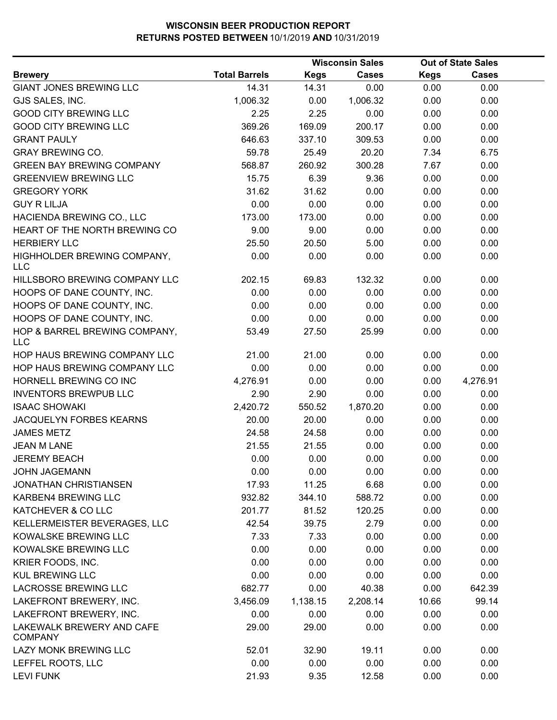|                                             |                      |             | <b>Wisconsin Sales</b> |             | <b>Out of State Sales</b> |  |
|---------------------------------------------|----------------------|-------------|------------------------|-------------|---------------------------|--|
| <b>Brewery</b>                              | <b>Total Barrels</b> | <b>Kegs</b> | <b>Cases</b>           | <b>Kegs</b> | <b>Cases</b>              |  |
| <b>GIANT JONES BREWING LLC</b>              | 14.31                | 14.31       | 0.00                   | 0.00        | 0.00                      |  |
| GJS SALES, INC.                             | 1,006.32             | 0.00        | 1,006.32               | 0.00        | 0.00                      |  |
| <b>GOOD CITY BREWING LLC</b>                | 2.25                 | 2.25        | 0.00                   | 0.00        | 0.00                      |  |
| <b>GOOD CITY BREWING LLC</b>                | 369.26               | 169.09      | 200.17                 | 0.00        | 0.00                      |  |
| <b>GRANT PAULY</b>                          | 646.63               | 337.10      | 309.53                 | 0.00        | 0.00                      |  |
| <b>GRAY BREWING CO.</b>                     | 59.78                | 25.49       | 20.20                  | 7.34        | 6.75                      |  |
| <b>GREEN BAY BREWING COMPANY</b>            | 568.87               | 260.92      | 300.28                 | 7.67        | 0.00                      |  |
| <b>GREENVIEW BREWING LLC</b>                | 15.75                | 6.39        | 9.36                   | 0.00        | 0.00                      |  |
| <b>GREGORY YORK</b>                         | 31.62                | 31.62       | 0.00                   | 0.00        | 0.00                      |  |
| <b>GUY R LILJA</b>                          | 0.00                 | 0.00        | 0.00                   | 0.00        | 0.00                      |  |
| HACIENDA BREWING CO., LLC                   | 173.00               | 173.00      | 0.00                   | 0.00        | 0.00                      |  |
| HEART OF THE NORTH BREWING CO               | 9.00                 | 9.00        | 0.00                   | 0.00        | 0.00                      |  |
| <b>HERBIERY LLC</b>                         | 25.50                | 20.50       | 5.00                   | 0.00        | 0.00                      |  |
| HIGHHOLDER BREWING COMPANY,                 | 0.00                 | 0.00        | 0.00                   | 0.00        | 0.00                      |  |
| <b>LLC</b>                                  |                      |             |                        |             |                           |  |
| HILLSBORO BREWING COMPANY LLC               | 202.15               | 69.83       | 132.32                 | 0.00        | 0.00                      |  |
| HOOPS OF DANE COUNTY, INC.                  | 0.00                 | 0.00        | 0.00                   | 0.00        | 0.00                      |  |
| HOOPS OF DANE COUNTY, INC.                  | 0.00                 | 0.00        | 0.00                   | 0.00        | 0.00                      |  |
| HOOPS OF DANE COUNTY, INC.                  | 0.00                 | 0.00        | 0.00                   | 0.00        | 0.00                      |  |
| HOP & BARREL BREWING COMPANY,<br><b>LLC</b> | 53.49                | 27.50       | 25.99                  | 0.00        | 0.00                      |  |
| HOP HAUS BREWING COMPANY LLC                | 21.00                | 21.00       | 0.00                   | 0.00        | 0.00                      |  |
| HOP HAUS BREWING COMPANY LLC                | 0.00                 | 0.00        | 0.00                   | 0.00        | 0.00                      |  |
| HORNELL BREWING CO INC                      | 4,276.91             | 0.00        | 0.00                   | 0.00        | 4,276.91                  |  |
| <b>INVENTORS BREWPUB LLC</b>                | 2.90                 | 2.90        | 0.00                   | 0.00        | 0.00                      |  |
| <b>ISAAC SHOWAKI</b>                        | 2,420.72             | 550.52      | 1,870.20               | 0.00        | 0.00                      |  |
| JACQUELYN FORBES KEARNS                     | 20.00                | 20.00       | 0.00                   | 0.00        | 0.00                      |  |
| <b>JAMES METZ</b>                           | 24.58                | 24.58       | 0.00                   | 0.00        | 0.00                      |  |
| <b>JEAN M LANE</b>                          | 21.55                | 21.55       | 0.00                   | 0.00        | 0.00                      |  |
| <b>JEREMY BEACH</b>                         | 0.00                 | 0.00        | 0.00                   | 0.00        | 0.00                      |  |
| <b>JOHN JAGEMANN</b>                        | 0.00                 | 0.00        | 0.00                   | 0.00        | 0.00                      |  |
| <b>JONATHAN CHRISTIANSEN</b>                | 17.93                | 11.25       | 6.68                   | 0.00        | 0.00                      |  |
| KARBEN4 BREWING LLC                         | 932.82               | 344.10      | 588.72                 | 0.00        | 0.00                      |  |
| KATCHEVER & CO LLC                          | 201.77               | 81.52       | 120.25                 | 0.00        | 0.00                      |  |
| KELLERMEISTER BEVERAGES, LLC                | 42.54                | 39.75       | 2.79                   | 0.00        | 0.00                      |  |
| KOWALSKE BREWING LLC                        | 7.33                 | 7.33        | 0.00                   | 0.00        | 0.00                      |  |
| KOWALSKE BREWING LLC                        | 0.00                 | 0.00        | 0.00                   | 0.00        | 0.00                      |  |
| KRIER FOODS, INC.                           | 0.00                 | 0.00        | 0.00                   | 0.00        | 0.00                      |  |
| <b>KUL BREWING LLC</b>                      | 0.00                 | 0.00        | 0.00                   | 0.00        | 0.00                      |  |
| <b>LACROSSE BREWING LLC</b>                 | 682.77               | 0.00        | 40.38                  | 0.00        | 642.39                    |  |
| LAKEFRONT BREWERY, INC.                     | 3,456.09             | 1,138.15    | 2,208.14               | 10.66       | 99.14                     |  |
| LAKEFRONT BREWERY, INC.                     | 0.00                 | 0.00        | 0.00                   | 0.00        | 0.00                      |  |
| LAKEWALK BREWERY AND CAFE<br><b>COMPANY</b> | 29.00                | 29.00       | 0.00                   | 0.00        | 0.00                      |  |
| LAZY MONK BREWING LLC                       | 52.01                | 32.90       | 19.11                  | 0.00        | 0.00                      |  |
| LEFFEL ROOTS, LLC                           | 0.00                 | 0.00        | 0.00                   | 0.00        | 0.00                      |  |
| <b>LEVI FUNK</b>                            | 21.93                | 9.35        | 12.58                  | 0.00        | 0.00                      |  |
|                                             |                      |             |                        |             |                           |  |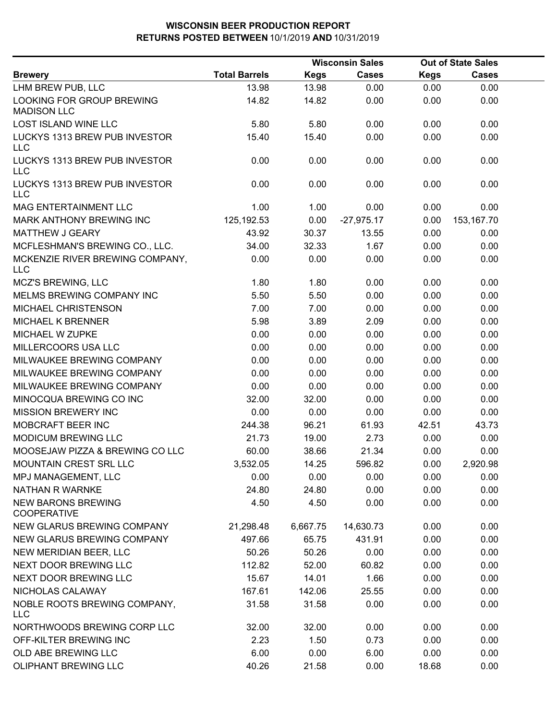|                                                 |                      |             | <b>Wisconsin Sales</b> |             | <b>Out of State Sales</b> |  |
|-------------------------------------------------|----------------------|-------------|------------------------|-------------|---------------------------|--|
| <b>Brewery</b>                                  | <b>Total Barrels</b> | <b>Kegs</b> | <b>Cases</b>           | <b>Kegs</b> | <b>Cases</b>              |  |
| LHM BREW PUB, LLC                               | 13.98                | 13.98       | 0.00                   | 0.00        | 0.00                      |  |
| LOOKING FOR GROUP BREWING<br><b>MADISON LLC</b> | 14.82                | 14.82       | 0.00                   | 0.00        | 0.00                      |  |
| <b>LOST ISLAND WINE LLC</b>                     | 5.80                 | 5.80        | 0.00                   | 0.00        | 0.00                      |  |
| LUCKYS 1313 BREW PUB INVESTOR<br><b>LLC</b>     | 15.40                | 15.40       | 0.00                   | 0.00        | 0.00                      |  |
| LUCKYS 1313 BREW PUB INVESTOR<br><b>LLC</b>     | 0.00                 | 0.00        | 0.00                   | 0.00        | 0.00                      |  |
| LUCKYS 1313 BREW PUB INVESTOR<br><b>LLC</b>     | 0.00                 | 0.00        | 0.00                   | 0.00        | 0.00                      |  |
| MAG ENTERTAINMENT LLC                           | 1.00                 | 1.00        | 0.00                   | 0.00        | 0.00                      |  |
| MARK ANTHONY BREWING INC                        | 125, 192.53          | 0.00        | $-27,975.17$           | 0.00        | 153,167.70                |  |
| MATTHEW J GEARY                                 | 43.92                | 30.37       | 13.55                  | 0.00        | 0.00                      |  |
| MCFLESHMAN'S BREWING CO., LLC.                  | 34.00                | 32.33       | 1.67                   | 0.00        | 0.00                      |  |
| MCKENZIE RIVER BREWING COMPANY,<br><b>LLC</b>   | 0.00                 | 0.00        | 0.00                   | 0.00        | 0.00                      |  |
| MCZ'S BREWING, LLC                              | 1.80                 | 1.80        | 0.00                   | 0.00        | 0.00                      |  |
| MELMS BREWING COMPANY INC                       | 5.50                 | 5.50        | 0.00                   | 0.00        | 0.00                      |  |
| MICHAEL CHRISTENSON                             | 7.00                 | 7.00        | 0.00                   | 0.00        | 0.00                      |  |
| <b>MICHAEL K BRENNER</b>                        | 5.98                 | 3.89        | 2.09                   | 0.00        | 0.00                      |  |
| MICHAEL W ZUPKE                                 | 0.00                 | 0.00        | 0.00                   | 0.00        | 0.00                      |  |
| MILLERCOORS USA LLC                             | 0.00                 | 0.00        | 0.00                   | 0.00        | 0.00                      |  |
| MILWAUKEE BREWING COMPANY                       | 0.00                 | 0.00        | 0.00                   | 0.00        | 0.00                      |  |
| MILWAUKEE BREWING COMPANY                       | 0.00                 | 0.00        | 0.00                   | 0.00        | 0.00                      |  |
| MILWAUKEE BREWING COMPANY                       | 0.00                 | 0.00        | 0.00                   | 0.00        | 0.00                      |  |
| MINOCQUA BREWING CO INC                         | 32.00                | 32.00       | 0.00                   | 0.00        | 0.00                      |  |
| <b>MISSION BREWERY INC</b>                      | 0.00                 | 0.00        | 0.00                   | 0.00        | 0.00                      |  |
| MOBCRAFT BEER INC                               | 244.38               | 96.21       | 61.93                  | 42.51       | 43.73                     |  |
| <b>MODICUM BREWING LLC</b>                      | 21.73                | 19.00       | 2.73                   | 0.00        | 0.00                      |  |
| MOOSEJAW PIZZA & BREWING CO LLC                 | 60.00                | 38.66       | 21.34                  | 0.00        | 0.00                      |  |
| MOUNTAIN CREST SRL LLC                          | 3,532.05             | 14.25       | 596.82                 | 0.00        | 2,920.98                  |  |
| MPJ MANAGEMENT, LLC                             | 0.00                 | 0.00        | 0.00                   | 0.00        | 0.00                      |  |
| <b>NATHAN R WARNKE</b>                          | 24.80                | 24.80       | 0.00                   | 0.00        | 0.00                      |  |
| <b>NEW BARONS BREWING</b><br><b>COOPERATIVE</b> | 4.50                 | 4.50        | 0.00                   | 0.00        | 0.00                      |  |
| NEW GLARUS BREWING COMPANY                      | 21,298.48            | 6,667.75    | 14,630.73              | 0.00        | 0.00                      |  |
| NEW GLARUS BREWING COMPANY                      | 497.66               | 65.75       | 431.91                 | 0.00        | 0.00                      |  |
| NEW MERIDIAN BEER, LLC                          | 50.26                | 50.26       | 0.00                   | 0.00        | 0.00                      |  |
| NEXT DOOR BREWING LLC                           | 112.82               | 52.00       | 60.82                  | 0.00        | 0.00                      |  |
| NEXT DOOR BREWING LLC                           | 15.67                | 14.01       | 1.66                   | 0.00        | 0.00                      |  |
| NICHOLAS CALAWAY                                | 167.61               | 142.06      | 25.55                  | 0.00        | 0.00                      |  |
| NOBLE ROOTS BREWING COMPANY,<br><b>LLC</b>      | 31.58                | 31.58       | 0.00                   | 0.00        | 0.00                      |  |
| NORTHWOODS BREWING CORP LLC                     | 32.00                | 32.00       | 0.00                   | 0.00        | 0.00                      |  |
| OFF-KILTER BREWING INC                          | 2.23                 | 1.50        | 0.73                   | 0.00        | 0.00                      |  |
| OLD ABE BREWING LLC                             | 6.00                 | 0.00        | 6.00                   | 0.00        | 0.00                      |  |
| OLIPHANT BREWING LLC                            | 40.26                | 21.58       | 0.00                   | 18.68       | 0.00                      |  |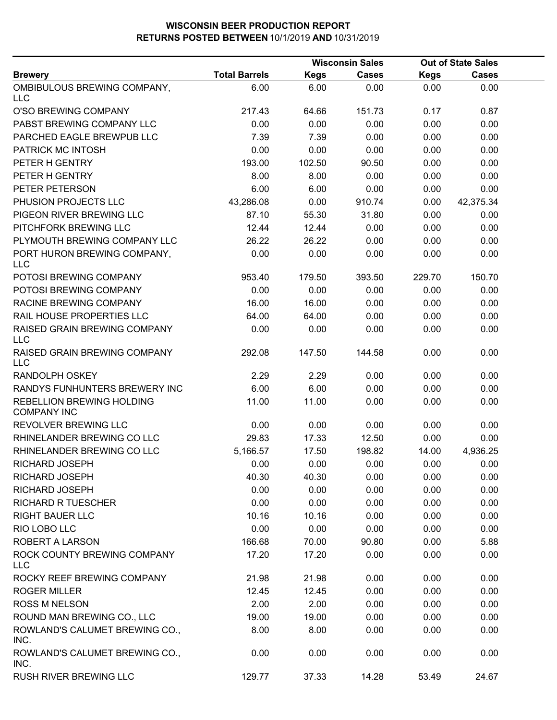|                                                 |                      | <b>Wisconsin Sales</b> |              | <b>Out of State Sales</b> |              |  |
|-------------------------------------------------|----------------------|------------------------|--------------|---------------------------|--------------|--|
| <b>Brewery</b>                                  | <b>Total Barrels</b> | <b>Kegs</b>            | <b>Cases</b> | <b>Kegs</b>               | <b>Cases</b> |  |
| OMBIBULOUS BREWING COMPANY,<br><b>LLC</b>       | 6.00                 | 6.00                   | 0.00         | 0.00                      | 0.00         |  |
| O'SO BREWING COMPANY                            | 217.43               | 64.66                  | 151.73       | 0.17                      | 0.87         |  |
| PABST BREWING COMPANY LLC                       | 0.00                 | 0.00                   | 0.00         | 0.00                      | 0.00         |  |
| PARCHED EAGLE BREWPUB LLC                       | 7.39                 | 7.39                   | 0.00         | 0.00                      | 0.00         |  |
| PATRICK MC INTOSH                               | 0.00                 | 0.00                   | 0.00         | 0.00                      | 0.00         |  |
| PETER H GENTRY                                  | 193.00               | 102.50                 | 90.50        | 0.00                      | 0.00         |  |
| PETER H GENTRY                                  | 8.00                 | 8.00                   | 0.00         | 0.00                      | 0.00         |  |
| PETER PETERSON                                  | 6.00                 | 6.00                   | 0.00         | 0.00                      | 0.00         |  |
| PHUSION PROJECTS LLC                            | 43,286.08            | 0.00                   | 910.74       | 0.00                      | 42,375.34    |  |
| PIGEON RIVER BREWING LLC                        | 87.10                | 55.30                  | 31.80        | 0.00                      | 0.00         |  |
| PITCHFORK BREWING LLC                           | 12.44                | 12.44                  | 0.00         | 0.00                      | 0.00         |  |
| PLYMOUTH BREWING COMPANY LLC                    | 26.22                | 26.22                  | 0.00         | 0.00                      | 0.00         |  |
| PORT HURON BREWING COMPANY,<br><b>LLC</b>       | 0.00                 | 0.00                   | 0.00         | 0.00                      | 0.00         |  |
| POTOSI BREWING COMPANY                          | 953.40               | 179.50                 | 393.50       | 229.70                    | 150.70       |  |
| POTOSI BREWING COMPANY                          | 0.00                 | 0.00                   | 0.00         | 0.00                      | 0.00         |  |
| RACINE BREWING COMPANY                          | 16.00                | 16.00                  | 0.00         | 0.00                      | 0.00         |  |
| RAIL HOUSE PROPERTIES LLC                       | 64.00                | 64.00                  | 0.00         | 0.00                      | 0.00         |  |
| RAISED GRAIN BREWING COMPANY<br><b>LLC</b>      | 0.00                 | 0.00                   | 0.00         | 0.00                      | 0.00         |  |
| RAISED GRAIN BREWING COMPANY<br><b>LLC</b>      | 292.08               | 147.50                 | 144.58       | 0.00                      | 0.00         |  |
| <b>RANDOLPH OSKEY</b>                           | 2.29                 | 2.29                   | 0.00         | 0.00                      | 0.00         |  |
| RANDYS FUNHUNTERS BREWERY INC                   | 6.00                 | 6.00                   | 0.00         | 0.00                      | 0.00         |  |
| REBELLION BREWING HOLDING<br><b>COMPANY INC</b> | 11.00                | 11.00                  | 0.00         | 0.00                      | 0.00         |  |
| REVOLVER BREWING LLC                            | 0.00                 | 0.00                   | 0.00         | 0.00                      | 0.00         |  |
| RHINELANDER BREWING CO LLC                      | 29.83                | 17.33                  | 12.50        | 0.00                      | 0.00         |  |
| RHINELANDER BREWING CO LLC                      | 5,166.57             | 17.50                  | 198.82       | 14.00                     | 4,936.25     |  |
| RICHARD JOSEPH                                  | 0.00                 | 0.00                   | 0.00         | 0.00                      | 0.00         |  |
| <b>RICHARD JOSEPH</b>                           | 40.30                | 40.30                  | 0.00         | 0.00                      | 0.00         |  |
| <b>RICHARD JOSEPH</b>                           | 0.00                 | 0.00                   | 0.00         | 0.00                      | 0.00         |  |
| <b>RICHARD R TUESCHER</b>                       | 0.00                 | 0.00                   | 0.00         | 0.00                      | 0.00         |  |
| <b>RIGHT BAUER LLC</b>                          | 10.16                | 10.16                  | 0.00         | 0.00                      | 0.00         |  |
| RIO LOBO LLC                                    | 0.00                 | 0.00                   | 0.00         | 0.00                      | 0.00         |  |
| ROBERT A LARSON                                 | 166.68               | 70.00                  | 90.80        | 0.00                      | 5.88         |  |
| ROCK COUNTY BREWING COMPANY<br><b>LLC</b>       | 17.20                | 17.20                  | 0.00         | 0.00                      | 0.00         |  |
| ROCKY REEF BREWING COMPANY                      | 21.98                | 21.98                  | 0.00         | 0.00                      | 0.00         |  |
| <b>ROGER MILLER</b>                             | 12.45                | 12.45                  | 0.00         | 0.00                      | 0.00         |  |
| <b>ROSS M NELSON</b>                            | 2.00                 | 2.00                   | 0.00         | 0.00                      | 0.00         |  |
| ROUND MAN BREWING CO., LLC                      | 19.00                | 19.00                  | 0.00         | 0.00                      | 0.00         |  |
| ROWLAND'S CALUMET BREWING CO.,<br>INC.          | 8.00                 | 8.00                   | 0.00         | 0.00                      | 0.00         |  |
| ROWLAND'S CALUMET BREWING CO.,<br>INC.          | 0.00                 | 0.00                   | 0.00         | 0.00                      | 0.00         |  |
| <b>RUSH RIVER BREWING LLC</b>                   | 129.77               | 37.33                  | 14.28        | 53.49                     | 24.67        |  |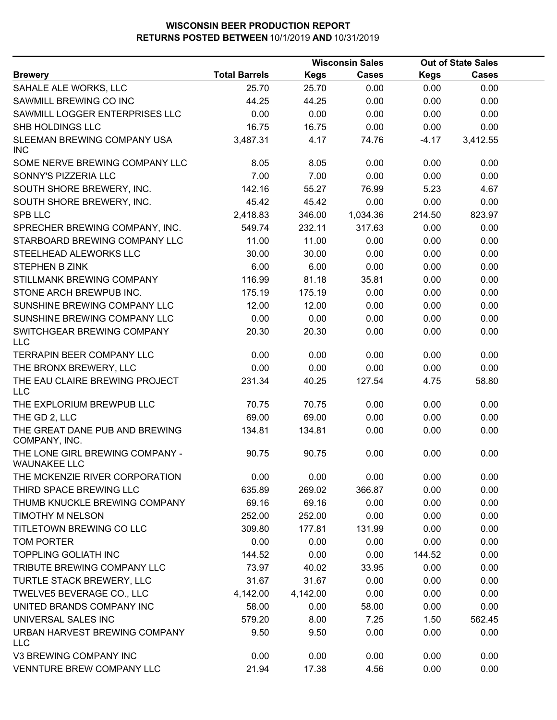|                                                        |                      |             | <b>Wisconsin Sales</b> |             | <b>Out of State Sales</b> |  |
|--------------------------------------------------------|----------------------|-------------|------------------------|-------------|---------------------------|--|
| <b>Brewery</b>                                         | <b>Total Barrels</b> | <b>Kegs</b> | <b>Cases</b>           | <b>Kegs</b> | <b>Cases</b>              |  |
| SAHALE ALE WORKS, LLC                                  | 25.70                | 25.70       | 0.00                   | 0.00        | 0.00                      |  |
| SAWMILL BREWING CO INC                                 | 44.25                | 44.25       | 0.00                   | 0.00        | 0.00                      |  |
| SAWMILL LOGGER ENTERPRISES LLC                         | 0.00                 | 0.00        | 0.00                   | 0.00        | 0.00                      |  |
| SHB HOLDINGS LLC                                       | 16.75                | 16.75       | 0.00                   | 0.00        | 0.00                      |  |
| SLEEMAN BREWING COMPANY USA<br><b>INC</b>              | 3,487.31             | 4.17        | 74.76                  | $-4.17$     | 3,412.55                  |  |
| SOME NERVE BREWING COMPANY LLC                         | 8.05                 | 8.05        | 0.00                   | 0.00        | 0.00                      |  |
| SONNY'S PIZZERIA LLC                                   | 7.00                 | 7.00        | 0.00                   | 0.00        | 0.00                      |  |
| SOUTH SHORE BREWERY, INC.                              | 142.16               | 55.27       | 76.99                  | 5.23        | 4.67                      |  |
| SOUTH SHORE BREWERY, INC.                              | 45.42                | 45.42       | 0.00                   | 0.00        | 0.00                      |  |
| <b>SPB LLC</b>                                         | 2,418.83             | 346.00      | 1,034.36               | 214.50      | 823.97                    |  |
| SPRECHER BREWING COMPANY, INC.                         | 549.74               | 232.11      | 317.63                 | 0.00        | 0.00                      |  |
| STARBOARD BREWING COMPANY LLC                          | 11.00                | 11.00       | 0.00                   | 0.00        | 0.00                      |  |
| STEELHEAD ALEWORKS LLC                                 | 30.00                | 30.00       | 0.00                   | 0.00        | 0.00                      |  |
| STEPHEN B ZINK                                         | 6.00                 | 6.00        | 0.00                   | 0.00        | 0.00                      |  |
| STILLMANK BREWING COMPANY                              | 116.99               | 81.18       | 35.81                  | 0.00        | 0.00                      |  |
| STONE ARCH BREWPUB INC.                                | 175.19               | 175.19      | 0.00                   | 0.00        | 0.00                      |  |
| SUNSHINE BREWING COMPANY LLC                           | 12.00                | 12.00       | 0.00                   | 0.00        | 0.00                      |  |
| SUNSHINE BREWING COMPANY LLC                           | 0.00                 | 0.00        | 0.00                   | 0.00        | 0.00                      |  |
| SWITCHGEAR BREWING COMPANY<br><b>LLC</b>               | 20.30                | 20.30       | 0.00                   | 0.00        | 0.00                      |  |
| TERRAPIN BEER COMPANY LLC                              | 0.00                 | 0.00        | 0.00                   | 0.00        | 0.00                      |  |
| THE BRONX BREWERY, LLC                                 | 0.00                 | 0.00        | 0.00                   | 0.00        | 0.00                      |  |
| THE EAU CLAIRE BREWING PROJECT<br><b>LLC</b>           | 231.34               | 40.25       | 127.54                 | 4.75        | 58.80                     |  |
| THE EXPLORIUM BREWPUB LLC                              | 70.75                | 70.75       | 0.00                   | 0.00        | 0.00                      |  |
| THE GD 2, LLC                                          | 69.00                | 69.00       | 0.00                   | 0.00        | 0.00                      |  |
| THE GREAT DANE PUB AND BREWING<br>COMPANY, INC.        | 134.81               | 134.81      | 0.00                   | 0.00        | 0.00                      |  |
| THE LONE GIRL BREWING COMPANY -<br><b>WAUNAKEE LLC</b> | 90.75                | 90.75       | 0.00                   | 0.00        | 0.00                      |  |
| THE MCKENZIE RIVER CORPORATION                         | 0.00                 | 0.00        | 0.00                   | 0.00        | 0.00                      |  |
| THIRD SPACE BREWING LLC                                | 635.89               | 269.02      | 366.87                 | 0.00        | 0.00                      |  |
| THUMB KNUCKLE BREWING COMPANY                          | 69.16                | 69.16       | 0.00                   | 0.00        | 0.00                      |  |
| <b>TIMOTHY M NELSON</b>                                | 252.00               | 252.00      | 0.00                   | 0.00        | 0.00                      |  |
| TITLETOWN BREWING CO LLC                               | 309.80               | 177.81      | 131.99                 | 0.00        | 0.00                      |  |
| TOM PORTER                                             | 0.00                 | 0.00        | 0.00                   | 0.00        | 0.00                      |  |
| <b>TOPPLING GOLIATH INC</b>                            | 144.52               | 0.00        | 0.00                   | 144.52      | 0.00                      |  |
| TRIBUTE BREWING COMPANY LLC                            | 73.97                | 40.02       | 33.95                  | 0.00        | 0.00                      |  |
| TURTLE STACK BREWERY, LLC                              | 31.67                | 31.67       | 0.00                   | 0.00        | 0.00                      |  |
| TWELVE5 BEVERAGE CO., LLC                              | 4,142.00             | 4,142.00    | 0.00                   | 0.00        | 0.00                      |  |
| UNITED BRANDS COMPANY INC                              | 58.00                | 0.00        | 58.00                  | 0.00        | 0.00                      |  |
| UNIVERSAL SALES INC                                    | 579.20               | 8.00        | 7.25                   | 1.50        | 562.45                    |  |
| URBAN HARVEST BREWING COMPANY<br><b>LLC</b>            | 9.50                 | 9.50        | 0.00                   | 0.00        | 0.00                      |  |
| V3 BREWING COMPANY INC                                 | 0.00                 | 0.00        | 0.00                   | 0.00        | 0.00                      |  |
| VENNTURE BREW COMPANY LLC                              | 21.94                | 17.38       | 4.56                   | 0.00        | 0.00                      |  |